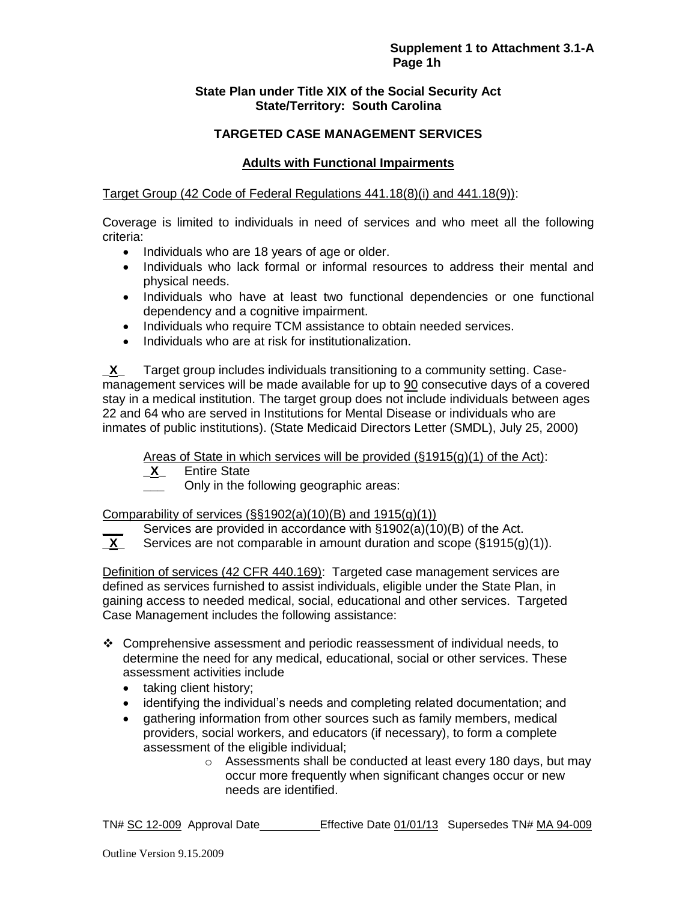# **State Plan under Title XIX of the Social Security Act State/Territory: South Carolina**

# **TARGETED CASE MANAGEMENT SERVICES**

# **Adults with Functional Impairments**

# Target Group (42 Code of Federal Regulations 441.18(8)(i) and 441.18(9)):

Coverage is limited to individuals in need of services and who meet all the following criteria:

- Individuals who are 18 years of age or older.
- Individuals who lack formal or informal resources to address their mental and physical needs.
- Individuals who have at least two functional dependencies or one functional dependency and a cognitive impairment.
- Individuals who require TCM assistance to obtain needed services.
- Individuals who are at risk for institutionalization.

**\_X\_** Target group includes individuals transitioning to a community setting. Casemanagement services will be made available for up to 90 consecutive days of a covered stay in a medical institution. The target group does not include individuals between ages 22 and 64 who are served in Institutions for Mental Disease or individuals who are inmates of public institutions). (State Medicaid Directors Letter (SMDL), July 25, 2000)

Areas of State in which services will be provided  $(\S1915(g)(1)$  of the Act):<br>**X** Entire State

**\_X\_** Entire State

**\_\_\_** Only in the following geographic areas:

Comparability of services  $(\frac{6}{51902(a)(10)(B)}$  and 1915(g)(1))

Services are provided in accordance with §1902(a)(10)(B) of the Act.

**\_X\_** Services are not comparable in amount duration and scope (§1915(g)(1)).

Definition of services (42 CFR 440.169): Targeted case management services are defined as services furnished to assist individuals, eligible under the State Plan, in gaining access to needed medical, social, educational and other services. Targeted Case Management includes the following assistance:

- Comprehensive assessment and periodic reassessment of individual needs, to determine the need for any medical, educational, social or other services. These assessment activities include
	- taking client history;
	- identifying the individual's needs and completing related documentation; and
	- gathering information from other sources such as family members, medical providers, social workers, and educators (if necessary), to form a complete assessment of the eligible individual;
		- o Assessments shall be conducted at least every 180 days, but may occur more frequently when significant changes occur or new needs are identified.

TN# SC 12-009 Approval Date Effective Date 01/01/13 Supersedes TN# MA 94-009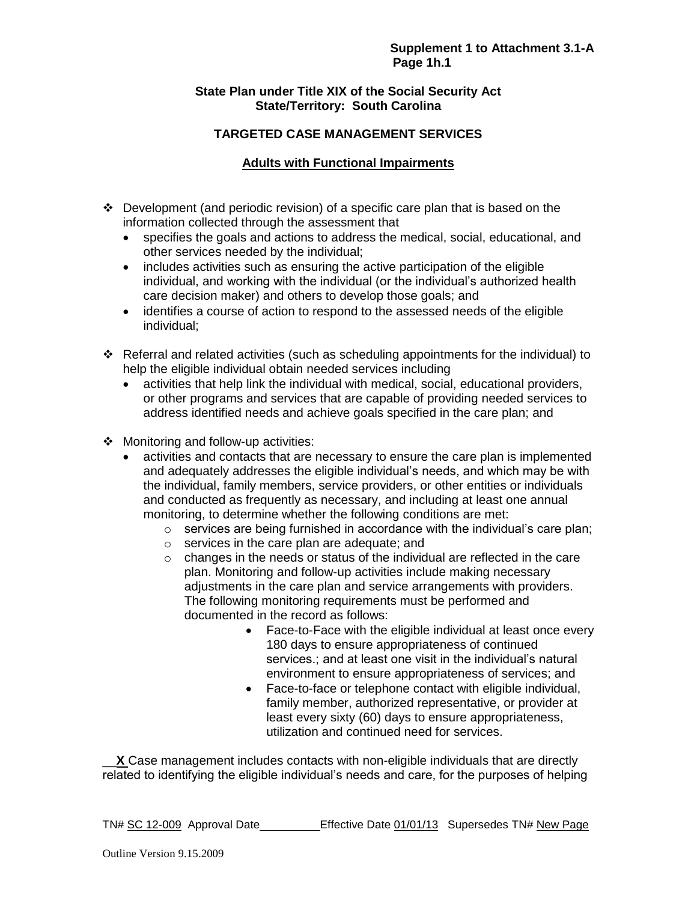# **State Plan under Title XIX of the Social Security Act State/Territory: South Carolina**

# **TARGETED CASE MANAGEMENT SERVICES**

# **Adults with Functional Impairments**

- $\div$  Development (and periodic revision) of a specific care plan that is based on the information collected through the assessment that
	- specifies the goals and actions to address the medical, social, educational, and other services needed by the individual;
	- includes activities such as ensuring the active participation of the eligible individual, and working with the individual (or the individual's authorized health care decision maker) and others to develop those goals; and
	- identifies a course of action to respond to the assessed needs of the eligible individual;
- Referral and related activities (such as scheduling appointments for the individual) to help the eligible individual obtain needed services including
	- activities that help link the individual with medical, social, educational providers, or other programs and services that are capable of providing needed services to address identified needs and achieve goals specified in the care plan; and
- ❖ Monitoring and follow-up activities:
	- activities and contacts that are necessary to ensure the care plan is implemented and adequately addresses the eligible individual's needs, and which may be with the individual, family members, service providers, or other entities or individuals and conducted as frequently as necessary, and including at least one annual monitoring, to determine whether the following conditions are met:
		- $\circ$  services are being furnished in accordance with the individual's care plan;
		- o services in the care plan are adequate; and
		- $\circ$  changes in the needs or status of the individual are reflected in the care plan. Monitoring and follow-up activities include making necessary adjustments in the care plan and service arrangements with providers. The following monitoring requirements must be performed and documented in the record as follows:
			- Face-to-Face with the eligible individual at least once every 180 days to ensure appropriateness of continued services.; and at least one visit in the individual's natural environment to ensure appropriateness of services; and
			- Face-to-face or telephone contact with eligible individual, family member, authorized representative, or provider at least every sixty (60) days to ensure appropriateness, utilization and continued need for services.

\_\_**X** Case management includes contacts with non-eligible individuals that are directly related to identifying the eligible individual's needs and care, for the purposes of helping

TN# SC 12-009 Approval Date Effective Date 01/01/13 Supersedes TN# New Page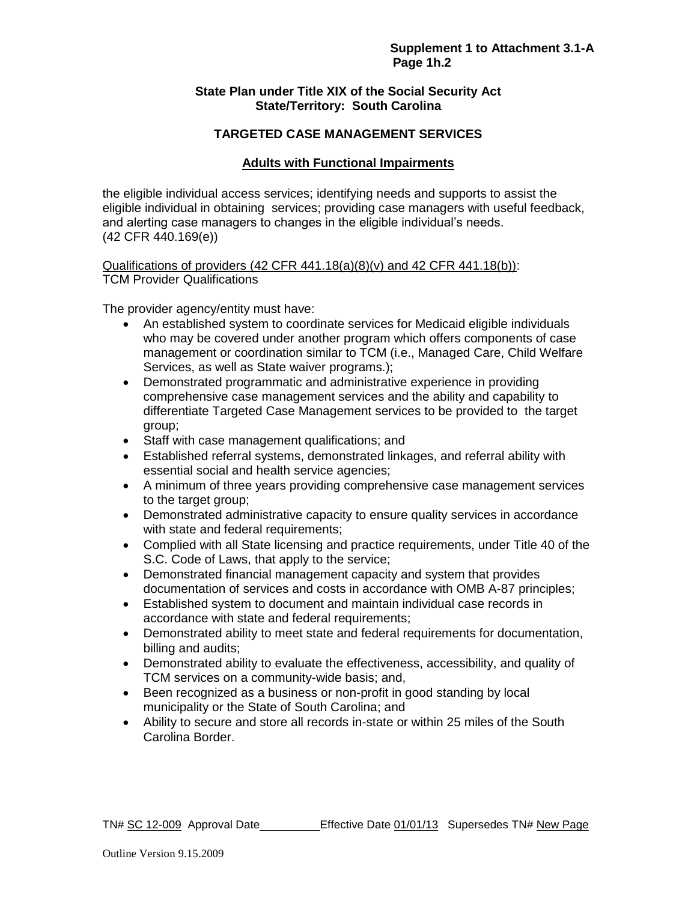### **State Plan under Title XIX of the Social Security Act State/Territory: South Carolina**

# **TARGETED CASE MANAGEMENT SERVICES**

# **Adults with Functional Impairments**

the eligible individual access services; identifying needs and supports to assist the eligible individual in obtaining services; providing case managers with useful feedback, and alerting case managers to changes in the eligible individual's needs. (42 CFR 440.169(e))

Qualifications of providers  $(42$  CFR  $441.18(a)(8)(v)$  and  $42$  CFR  $441.18(b)$ : TCM Provider Qualifications

The provider agency/entity must have:

- An established system to coordinate services for Medicaid eligible individuals who may be covered under another program which offers components of case management or coordination similar to TCM (i.e., Managed Care, Child Welfare Services, as well as State waiver programs.);
- Demonstrated programmatic and administrative experience in providing comprehensive case management services and the ability and capability to differentiate Targeted Case Management services to be provided to the target group;
- Staff with case management qualifications; and
- Established referral systems, demonstrated linkages, and referral ability with essential social and health service agencies;
- A minimum of three years providing comprehensive case management services to the target group;
- Demonstrated administrative capacity to ensure quality services in accordance with state and federal requirements;
- Complied with all State licensing and practice requirements, under Title 40 of the S.C. Code of Laws, that apply to the service;
- Demonstrated financial management capacity and system that provides documentation of services and costs in accordance with OMB A-87 principles;
- Established system to document and maintain individual case records in accordance with state and federal requirements;
- Demonstrated ability to meet state and federal requirements for documentation, billing and audits;
- Demonstrated ability to evaluate the effectiveness, accessibility, and quality of TCM services on a community-wide basis; and,
- Been recognized as a business or non-profit in good standing by local municipality or the State of South Carolina; and
- Ability to secure and store all records in-state or within 25 miles of the South Carolina Border.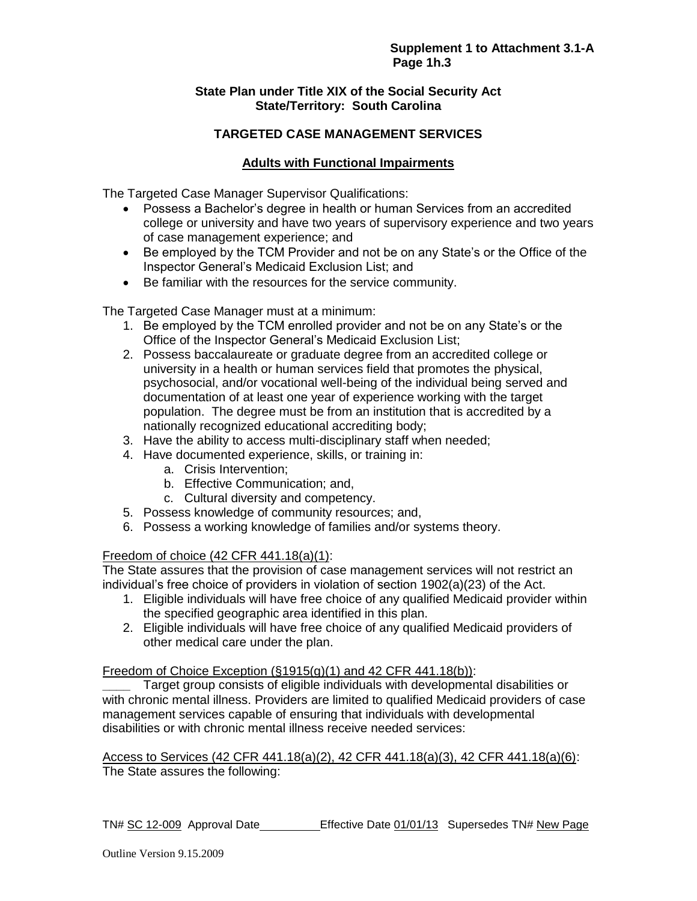# **State Plan under Title XIX of the Social Security Act State/Territory: South Carolina**

# **TARGETED CASE MANAGEMENT SERVICES**

# **Adults with Functional Impairments**

The Targeted Case Manager Supervisor Qualifications:

- Possess a Bachelor's degree in health or human Services from an accredited college or university and have two years of supervisory experience and two years of case management experience; and
- Be employed by the TCM Provider and not be on any State's or the Office of the Inspector General's Medicaid Exclusion List; and
- Be familiar with the resources for the service community.

The Targeted Case Manager must at a minimum:

- 1. Be employed by the TCM enrolled provider and not be on any State's or the Office of the Inspector General's Medicaid Exclusion List;
- 2. Possess baccalaureate or graduate degree from an accredited college or university in a health or human services field that promotes the physical, psychosocial, and/or vocational well-being of the individual being served and documentation of at least one year of experience working with the target population. The degree must be from an institution that is accredited by a nationally recognized educational accrediting body;
- 3. Have the ability to access multi-disciplinary staff when needed;
- 4. Have documented experience, skills, or training in:
	- a. Crisis Intervention;
	- b. Effective Communication; and,
	- c. Cultural diversity and competency.
- 5. Possess knowledge of community resources; and,
- 6. Possess a working knowledge of families and/or systems theory.

#### Freedom of choice (42 CFR 441.18(a)(1):

The State assures that the provision of case management services will not restrict an individual's free choice of providers in violation of section 1902(a)(23) of the Act.

- 1. Eligible individuals will have free choice of any qualified Medicaid provider within the specified geographic area identified in this plan.
- 2. Eligible individuals will have free choice of any qualified Medicaid providers of other medical care under the plan.

Freedom of Choice Exception  $(\S1915(q)(1)$  and 42 CFR 441.18(b)):

**\_\_\_\_** Target group consists of eligible individuals with developmental disabilities or with chronic mental illness. Providers are limited to qualified Medicaid providers of case management services capable of ensuring that individuals with developmental disabilities or with chronic mental illness receive needed services:

Access to Services (42 CFR 441.18(a)(2), 42 CFR 441.18(a)(3), 42 CFR 441.18(a)(6): The State assures the following:

TN# SC 12-009 Approval Date Effective Date 01/01/13 Supersedes TN# New Page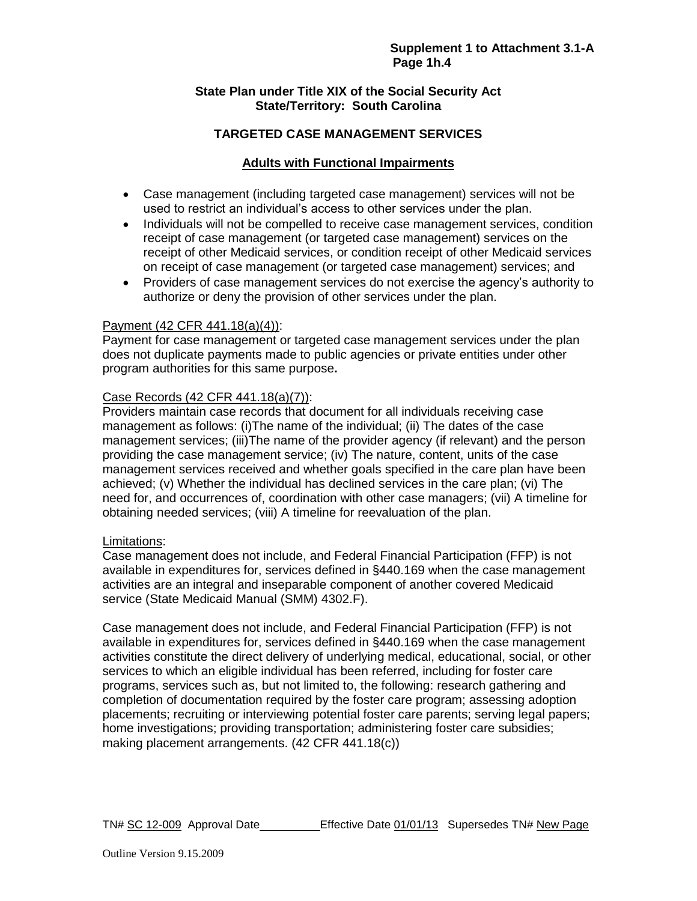# **State Plan under Title XIX of the Social Security Act State/Territory: South Carolina**

# **TARGETED CASE MANAGEMENT SERVICES**

# **Adults with Functional Impairments**

- Case management (including targeted case management) services will not be used to restrict an individual's access to other services under the plan.
- Individuals will not be compelled to receive case management services, condition receipt of case management (or targeted case management) services on the receipt of other Medicaid services, or condition receipt of other Medicaid services on receipt of case management (or targeted case management) services; and
- Providers of case management services do not exercise the agency's authority to authorize or deny the provision of other services under the plan.

#### Payment (42 CFR 441.18(a)(4)):

Payment for case management or targeted case management services under the plan does not duplicate payments made to public agencies or private entities under other program authorities for this same purpose**.** 

#### Case Records (42 CFR 441.18(a)(7)):

Providers maintain case records that document for all individuals receiving case management as follows: (i)The name of the individual; (ii) The dates of the case management services; (iii)The name of the provider agency (if relevant) and the person providing the case management service; (iv) The nature, content, units of the case management services received and whether goals specified in the care plan have been achieved; (v) Whether the individual has declined services in the care plan; (vi) The need for, and occurrences of, coordination with other case managers; (vii) A timeline for obtaining needed services; (viii) A timeline for reevaluation of the plan.

# Limitations:

Case management does not include, and Federal Financial Participation (FFP) is not available in expenditures for, services defined in §440.169 when the case management activities are an integral and inseparable component of another covered Medicaid service (State Medicaid Manual (SMM) 4302.F).

Case management does not include, and Federal Financial Participation (FFP) is not available in expenditures for, services defined in §440.169 when the case management activities constitute the direct delivery of underlying medical, educational, social, or other services to which an eligible individual has been referred, including for foster care programs, services such as, but not limited to, the following: research gathering and completion of documentation required by the foster care program; assessing adoption placements; recruiting or interviewing potential foster care parents; serving legal papers; home investigations; providing transportation; administering foster care subsidies; making placement arrangements. (42 CFR 441.18(c))